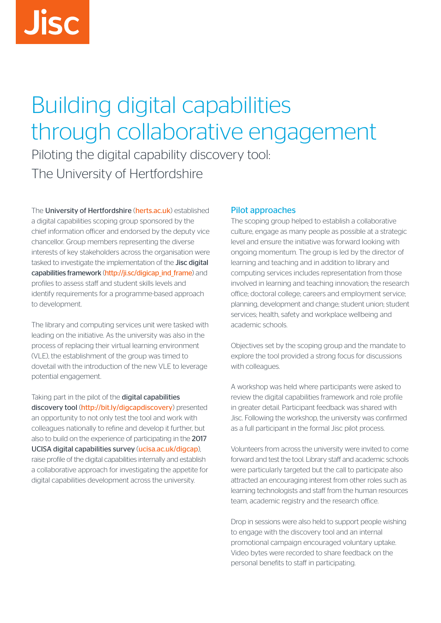# Building digital capabilities through collaborative engagement

Piloting the digital capability discovery tool: The University of Hertfordshire

The [University of Hertfordshire](http://www.herts.ac.uk/) (herts.ac.uk) established a digital capabilities scoping group sponsored by the chief information officer and endorsed by the deputy vice chancellor. Group members representing the diverse interests of key stakeholders across the organisation were tasked to investigate the implementation of the [Jisc digital](http://ji.sc/digicap_ind_frame) capabilities framework ([http://ji.sc/digicap\\_ind\\_frame](http://ji.sc/digicap_ind_frame)) and profiles to assess staff and student skills levels and identify requirements for a programme-based approach to development.

The library and computing services unit were tasked with leading on the initiative. As the university was also in the process of replacing their virtual learning environment (VLE), the establishment of the group was timed to dovetail with the introduction of the new VLE to leverage potential engagement.

Taking part in the pilot of the digital capabilities discovery tool (<http://bit.ly/digcapdiscovery>) presented an opportunity to not only test the tool and work with colleagues nationally to refine and develop it further, but also to build on the experience of participating in the [2017](https://www.ucisa.ac.uk/digcap) [UCISA digital capabilities survey](https://www.ucisa.ac.uk/digcap) (ucisa.ac.uk/digcap), raise profile of the digital capabilities internally and establish a collaborative approach for investigating the appetite for digital capabilities development across the university.

## Pilot approaches

The scoping group helped to establish a collaborative culture, engage as many people as possible at a strategic level and ensure the initiative was forward looking with ongoing momentum. The group is led by the director of learning and teaching and in addition to library and computing services includes representation from those involved in learning and teaching innovation; the research office; doctoral college; careers and employment service; planning, development and change; student union; student services; health, safety and workplace wellbeing and academic schools.

Objectives set by the scoping group and the mandate to explore the tool provided a strong focus for discussions with colleagues.

A workshop was held where participants were asked to review the digital capabilities framework and role profile in greater detail. Participant feedback was shared with Jisc. Following the workshop, the university was confirmed as a full participant in the formal Jisc pilot process.

Volunteers from across the university were invited to come forward and test the tool. Library staff and academic schools were particularly targeted but the call to participate also attracted an encouraging interest from other roles such as learning technologists and staff from the human resources team, academic registry and the research office.

Drop in sessions were also held to support people wishing to engage with the discovery tool and an internal promotional campaign encouraged voluntary uptake. Video bytes were recorded to share feedback on the personal benefits to staff in participating.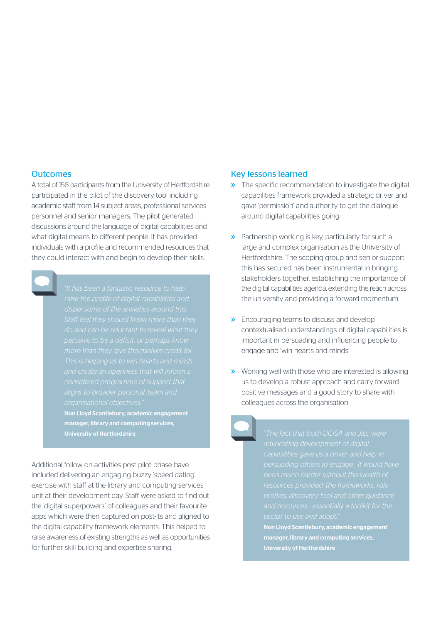#### **Outcomes**

A total of 156 participants from the University of Hertfordshire participated in the pilot of the discovery tool including academic staff from 14 subject areas, professional services personnel and senior managers. The pilot generated discussions around the language of digital capabilities and what digital means to different people. It has provided individuals with a profile and recommended resources that they could interact with and begin to develop their skills.

*"It has been a fantastic resource to help* 

Non Lloyd Scantlebury, academic engagement manager, library and computing services,

Additional follow on activities post pilot phase have included delivering an engaging buzzy 'speed dating' exercise with staff at the library and computing services unit at their development day. Staff were asked to find out the 'digital superpowers' of colleagues and their favourite apps which were then captured on post-its and aligned to the digital capability framework elements. This helped to raise awareness of existing strengths as well as opportunities for further skill building and expertise sharing.

#### Key lessons learned

- » The specific recommendation to investigate the digital capabilities framework provided a strategic driver and gave 'permission' and authority to get the dialogue around digital capabilities going
- » Partnership working is key, particularly for such a large and complex organisation as the University of Hertfordshire. The scoping group and senior support this has secured has been instrumental in bringing stakeholders together, establishing the importance of the digital capabilities agenda, extending the reach across the university and providing a forward momentum
- » Encouraging teams to discuss and develop contextualised understandings of digital capabilities is important in persuading and influencing people to engage and 'win hearts and minds'
- » Working well with those who are interested is allowing us to develop a robust approach and carry forward positive messages and a good story to share with colleagues across the organisation

University of Hertfordshire *"The fact that both UCISA and Jisc were* 

Non Lloyd Scantlebury, academic engagement manager, library and computing services, University of Hertfordshire